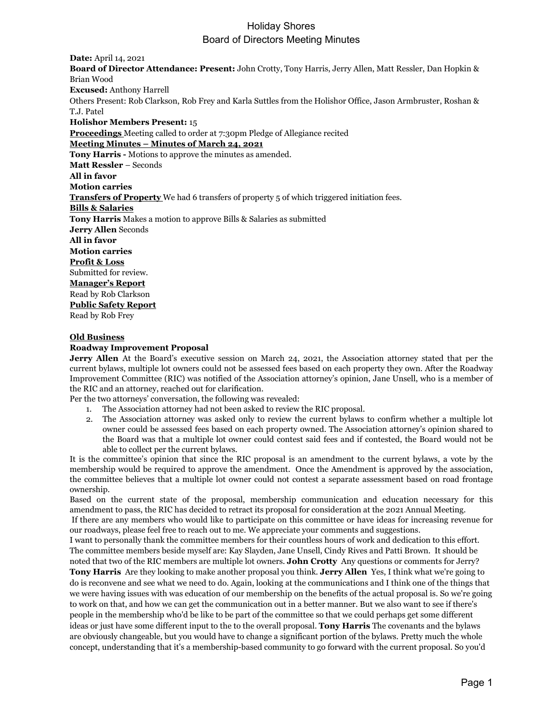**Date:** April 14, 2021 **Board of Director Attendance: Present:** John Crotty, Tony Harris, Jerry Allen, Matt Ressler, Dan Hopkin & Brian Wood **Excused:** Anthony Harrell Others Present: Rob Clarkson, Rob Frey and Karla Suttles from the Holishor Office, Jason Armbruster, Roshan & T.J. Patel **Holishor Members Present:** 15 **Proceedings** Meeting called to order at 7:30pm Pledge of Allegiance recited **Meeting Minutes – Minutes of March 24, 2021 Tony Harris -** Motions to approve the minutes as amended. **Matt Ressler** – Seconds **All in favor Motion carries Transfers of Property** We had 6 transfers of property 5 of which triggered initiation fees. **Bills & Salaries Tony Harris** Makes a motion to approve Bills & Salaries as submitted **Jerry Allen** Seconds **All in favor Motion carries Profit & Loss** Submitted for review. **Manager's Report** Read by Rob Clarkson **Public Safety Report** Read by Rob Frey

#### **Old Business**

## **Roadway Improvement Proposal**

**Jerry Allen** At the Board's executive session on March 24, 2021, the Association attorney stated that per the current bylaws, multiple lot owners could not be assessed fees based on each property they own. After the Roadway Improvement Committee (RIC) was notified of the Association attorney's opinion, Jane Unsell, who is a member of the RIC and an attorney, reached out for clarification.

Per the two attorneys' conversation, the following was revealed:

- 1. The Association attorney had not been asked to review the RIC proposal.
- 2. The Association attorney was asked only to review the current bylaws to confirm whether a multiple lot owner could be assessed fees based on each property owned. The Association attorney's opinion shared to the Board was that a multiple lot owner could contest said fees and if contested, the Board would not be able to collect per the current bylaws.

It is the committee's opinion that since the RIC proposal is an amendment to the current bylaws, a vote by the membership would be required to approve the amendment. Once the Amendment is approved by the association, the committee believes that a multiple lot owner could not contest a separate assessment based on road frontage ownership.

Based on the current state of the proposal, membership communication and education necessary for this amendment to pass, the RIC has decided to retract its proposal for consideration at the 2021 Annual Meeting. If there are any members who would like to participate on this committee or have ideas for increasing revenue for

our roadways, please feel free to reach out to me. We appreciate your comments and suggestions. I want to personally thank the committee members for their countless hours of work and dedication to this effort. The committee members beside myself are: Kay Slayden, Jane Unsell, Cindy Rives and Patti Brown. It should be

noted that two of the RIC members are multiple lot owners. **John Crotty** Any questions or comments for Jerry? **Tony Harris** Are they looking to make another proposal you think. **Jerry Allen** Yes, I think what we're going to do is reconvene and see what we need to do. Again, looking at the communications and I think one of the things that we were having issues with was education of our membership on the benefits of the actual proposal is. So we're going to work on that, and how we can get the communication out in a better manner. But we also want to see if there's people in the membership who'd be like to be part of the committee so that we could perhaps get some different ideas or just have some different input to the to the overall proposal. **Tony Harris** The covenants and the bylaws are obviously changeable, but you would have to change a significant portion of the bylaws. Pretty much the whole concept, understanding that it's a membership-based community to go forward with the current proposal. So you'd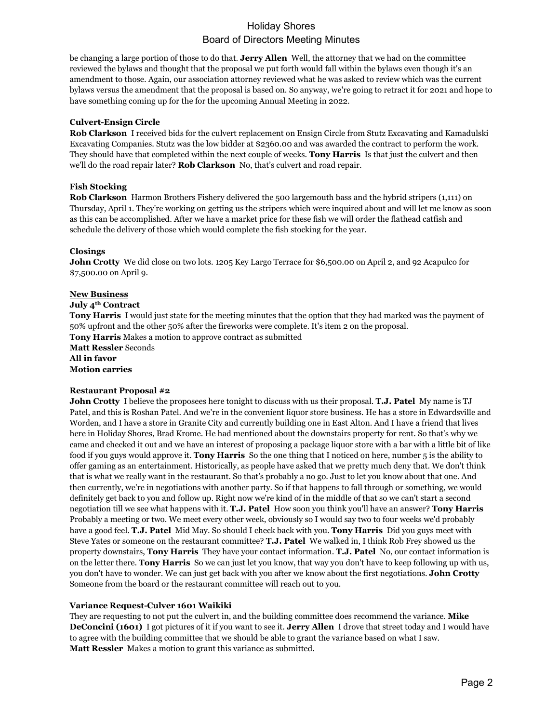be changing a large portion of those to do that. **Jerry Allen** Well, the attorney that we had on the committee reviewed the bylaws and thought that the proposal we put forth would fall within the bylaws even though it's an amendment to those. Again, our association attorney reviewed what he was asked to review which was the current bylaws versus the amendment that the proposal is based on. So anyway, we're going to retract it for 2021 and hope to have something coming up for the for the upcoming Annual Meeting in 2022.

## **Culvert-Ensign Circle**

**Rob Clarkson** I received bids for the culvert replacement on Ensign Circle from Stutz Excavating and Kamadulski Excavating Companies. Stutz was the low bidder at \$2360.00 and was awarded the contract to perform the work. They should have that completed within the next couple of weeks. **Tony Harris** Is that just the culvert and then we'll do the road repair later? **Rob Clarkson** No, that's culvert and road repair.

## **Fish Stocking**

**Rob Clarkson** Harmon Brothers Fishery delivered the 500 largemouth bass and the hybrid stripers (1,111) on Thursday, April 1. They're working on getting us the stripers which were inquired about and will let me know as soon as this can be accomplished. After we have a market price for these fish we will order the flathead catfish and schedule the delivery of those which would complete the fish stocking for the year.

## **Closings**

**John Crotty** We did close on two lots. 1205 Key Largo Terrace for \$6,500.00 on April 2, and 92 Acapulco for \$7,500.00 on April 9.

#### **New Business**

#### **July 4th Contract**

**Tony Harris** I would just state for the meeting minutes that the option that they had marked was the payment of 50% upfront and the other 50% after the fireworks were complete. It's item 2 on the proposal. **Tony Harris** Makes a motion to approve contract as submitted

**Matt Ressler** Seconds

**All in favor Motion carries**

## **Restaurant Proposal #2**

**John Crotty** I believe the proposees here tonight to discuss with us their proposal. **T.J. Patel** My name is TJ Patel, and this is Roshan Patel. And we're in the convenient liquor store business. He has a store in Edwardsville and Worden, and I have a store in Granite City and currently building one in East Alton. And I have a friend that lives here in Holiday Shores, Brad Krome. He had mentioned about the downstairs property for rent. So that's why we came and checked it out and we have an interest of proposing a package liquor store with a bar with a little bit of like food if you guys would approve it. **Tony Harris** So the one thing that I noticed on here, number 5 is the ability to offer gaming as an entertainment. Historically, as people have asked that we pretty much deny that. We don't think that is what we really want in the restaurant. So that's probably a no go. Just to let you know about that one. And then currently, we're in negotiations with another party. So if that happens to fall through or something, we would definitely get back to you and follow up. Right now we're kind of in the middle of that so we can't start a second negotiation till we see what happens with it. **T.J. Patel** How soon you think you'll have an answer? **Tony Harris**  Probably a meeting or two. We meet every other week, obviously so I would say two to four weeks we'd probably have a good feel. **T.J. Patel** Mid May. So should I check back with you. **Tony Harris** Did you guys meet with Steve Yates or someone on the restaurant committee? **T.J. Patel** We walked in, I think Rob Frey showed us the property downstairs, **Tony Harris** They have your contact information. **T.J. Patel** No, our contact information is on the letter there. **Tony Harris** So we can just let you know, that way you don't have to keep following up with us, you don't have to wonder. We can just get back with you after we know about the first negotiations. **John Crotty**  Someone from the board or the restaurant committee will reach out to you.

#### **Variance Request-Culver 1601 Waikiki**

They are requesting to not put the culvert in, and the building committee does recommend the variance. **Mike DeConcini (1601)** I got pictures of it if you want to see it. **Jerry Allen** I drove that street today and I would have to agree with the building committee that we should be able to grant the variance based on what I saw. **Matt Ressler** Makes a motion to grant this variance as submitted.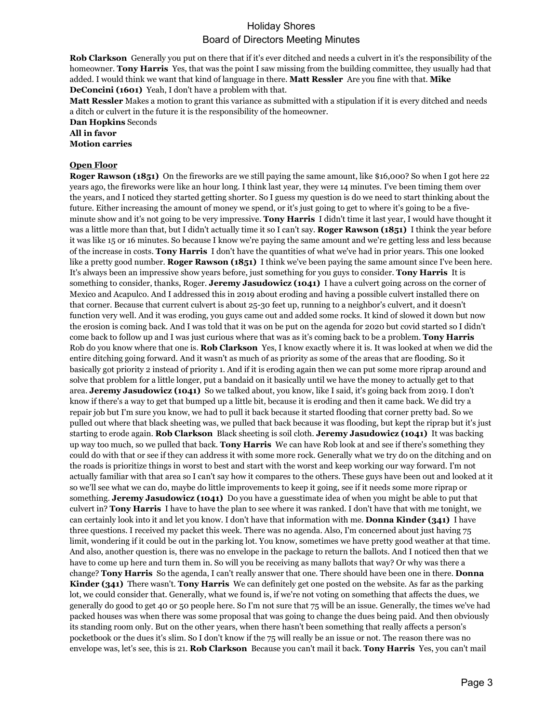**Rob Clarkson** Generally you put on there that if it's ever ditched and needs a culvert in it's the responsibility of the homeowner. **Tony Harris** Yes, that was the point I saw missing from the building committee, they usually had that added. I would think we want that kind of language in there. **Matt Ressler** Are you fine with that. **Mike DeConcini (1601)** Yeah, I don't have a problem with that.

**Matt Ressler** Makes a motion to grant this variance as submitted with a stipulation if it is every ditched and needs a ditch or culvert in the future it is the responsibility of the homeowner.

**Dan Hopkins** Seconds

**All in favor**

**Motion carries**

## **Open Floor**

**Roger Rawson (1851)** On the fireworks are we still paying the same amount, like \$16,000? So when I got here 22 years ago, the fireworks were like an hour long. I think last year, they were 14 minutes. I've been timing them over the years, and I noticed they started getting shorter. So I guess my question is do we need to start thinking about the future. Either increasing the amount of money we spend, or it's just going to get to where it's going to be a fiveminute show and it's not going to be very impressive. **Tony Harris** I didn't time it last year, I would have thought it was a little more than that, but I didn't actually time it so I can't say. **Roger Rawson (1851)** I think the year before it was like 15 or 16 minutes. So because I know we're paying the same amount and we're getting less and less because of the increase in costs. **Tony Harris** I don't have the quantities of what we've had in prior years. This one looked like a pretty good number. **Roger Rawson (1851)** I think we've been paying the same amount since I've been here. It's always been an impressive show years before, just something for you guys to consider. **Tony Harris** It is something to consider, thanks, Roger. **Jeremy Jasudowicz (1041)** I have a culvert going across on the corner of Mexico and Acapulco. And I addressed this in 2019 about eroding and having a possible culvert installed there on that corner. Because that current culvert is about 25-30 feet up, running to a neighbor's culvert, and it doesn't function very well. And it was eroding, you guys came out and added some rocks. It kind of slowed it down but now the erosion is coming back. And I was told that it was on be put on the agenda for 2020 but covid started so I didn't come back to follow up and I was just curious where that was as it's coming back to be a problem. **Tony Harris**  Rob do you know where that one is. **Rob Clarkson** Yes, I know exactly where it is. It was looked at when we did the entire ditching going forward. And it wasn't as much of as priority as some of the areas that are flooding. So it basically got priority 2 instead of priority 1. And if it is eroding again then we can put some more riprap around and solve that problem for a little longer, put a bandaid on it basically until we have the money to actually get to that area. **Jeremy Jasudowicz (1041)** So we talked about, you know, like I said, it's going back from 2019. I don't know if there's a way to get that bumped up a little bit, because it is eroding and then it came back. We did try a repair job but I'm sure you know, we had to pull it back because it started flooding that corner pretty bad. So we pulled out where that black sheeting was, we pulled that back because it was flooding, but kept the riprap but it's just starting to erode again. **Rob Clarkson** Black sheeting is soil cloth. **Jeremy Jasudowicz (1041)** It was backing up way too much, so we pulled that back. **Tony Harris** We can have Rob look at and see if there's something they could do with that or see if they can address it with some more rock. Generally what we try do on the ditching and on the roads is prioritize things in worst to best and start with the worst and keep working our way forward. I'm not actually familiar with that area so I can't say how it compares to the others. These guys have been out and looked at it so we'll see what we can do, maybe do little improvements to keep it going, see if it needs some more riprap or something. **Jeremy Jasudowicz (1041)** Do you have a guesstimate idea of when you might be able to put that culvert in? **Tony Harris** I have to have the plan to see where it was ranked. I don't have that with me tonight, we can certainly look into it and let you know. I don't have that information with me. **Donna Kinder (341)** I have three questions. I received my packet this week. There was no agenda. Also, I'm concerned about just having 75 limit, wondering if it could be out in the parking lot. You know, sometimes we have pretty good weather at that time. And also, another question is, there was no envelope in the package to return the ballots. And I noticed then that we have to come up here and turn them in. So will you be receiving as many ballots that way? Or why was there a change? **Tony Harris** So the agenda, I can't really answer that one. There should have been one in there. **Donna Kinder (341)** There wasn't. **Tony Harris** We can definitely get one posted on the website. As far as the parking lot, we could consider that. Generally, what we found is, if we're not voting on something that affects the dues, we generally do good to get 40 or 50 people here. So I'm not sure that 75 will be an issue. Generally, the times we've had packed houses was when there was some proposal that was going to change the dues being paid. And then obviously its standing room only. But on the other years, when there hasn't been something that really affects a person's pocketbook or the dues it's slim. So I don't know if the 75 will really be an issue or not. The reason there was no envelope was, let's see, this is 21. **Rob Clarkson** Because you can't mail it back. **Tony Harris** Yes, you can't mail